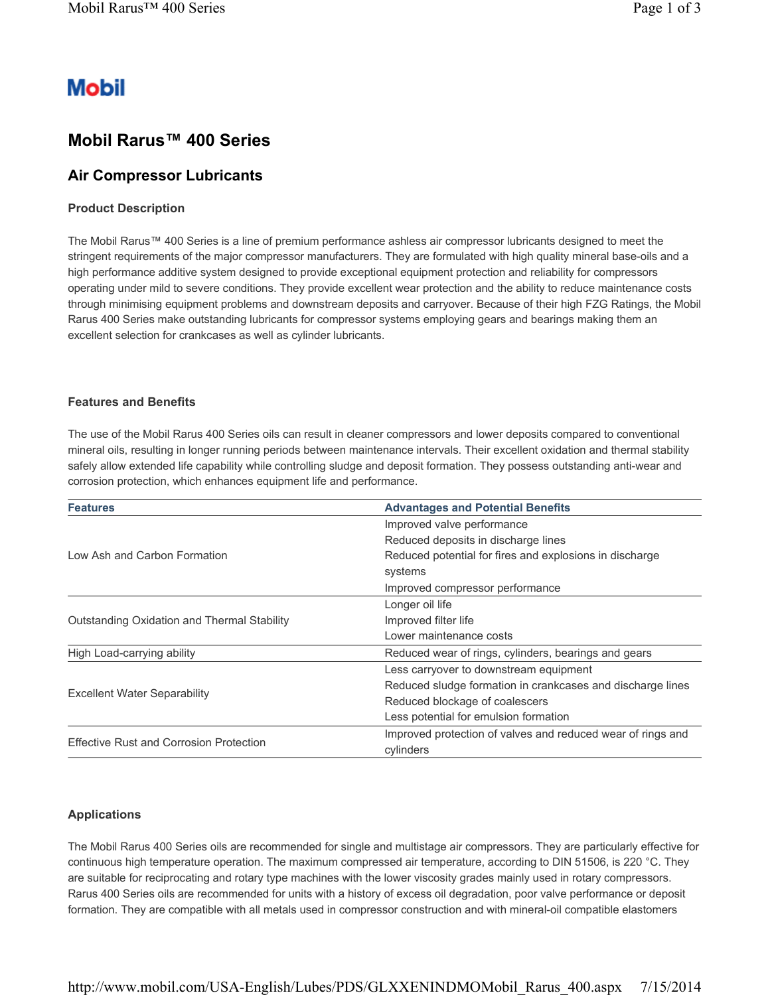# **Mobil**

## **Mobil Rarus™ 400 Series**

### **Air Compressor Lubricants**

#### **Product Description**

The Mobil Rarus™ 400 Series is a line of premium performance ashless air compressor lubricants designed to meet the stringent requirements of the major compressor manufacturers. They are formulated with high quality mineral base-oils and a high performance additive system designed to provide exceptional equipment protection and reliability for compressors operating under mild to severe conditions. They provide excellent wear protection and the ability to reduce maintenance costs through minimising equipment problems and downstream deposits and carryover. Because of their high FZG Ratings, the Mobil Rarus 400 Series make outstanding lubricants for compressor systems employing gears and bearings making them an excellent selection for crankcases as well as cylinder lubricants.

#### **Features and Benefits**

The use of the Mobil Rarus 400 Series oils can result in cleaner compressors and lower deposits compared to conventional mineral oils, resulting in longer running periods between maintenance intervals. Their excellent oxidation and thermal stability safely allow extended life capability while controlling sludge and deposit formation. They possess outstanding anti-wear and corrosion protection, which enhances equipment life and performance.

| <b>Features</b>                                | <b>Advantages and Potential Benefits</b>                    |  |  |  |  |
|------------------------------------------------|-------------------------------------------------------------|--|--|--|--|
|                                                | Improved valve performance                                  |  |  |  |  |
| Low Ash and Carbon Formation                   | Reduced deposits in discharge lines                         |  |  |  |  |
|                                                | Reduced potential for fires and explosions in discharge     |  |  |  |  |
|                                                | systems                                                     |  |  |  |  |
|                                                | Improved compressor performance                             |  |  |  |  |
| Outstanding Oxidation and Thermal Stability    | Longer oil life                                             |  |  |  |  |
|                                                | Improved filter life                                        |  |  |  |  |
|                                                | Lower maintenance costs                                     |  |  |  |  |
| High Load-carrying ability                     | Reduced wear of rings, cylinders, bearings and gears        |  |  |  |  |
| <b>Excellent Water Separability</b>            | Less carryover to downstream equipment                      |  |  |  |  |
|                                                | Reduced sludge formation in crankcases and discharge lines  |  |  |  |  |
|                                                | Reduced blockage of coalescers                              |  |  |  |  |
|                                                | Less potential for emulsion formation                       |  |  |  |  |
|                                                | Improved protection of valves and reduced wear of rings and |  |  |  |  |
| <b>Effective Rust and Corrosion Protection</b> | cylinders                                                   |  |  |  |  |

#### **Applications**

The Mobil Rarus 400 Series oils are recommended for single and multistage air compressors. They are particularly effective for continuous high temperature operation. The maximum compressed air temperature, according to DIN 51506, is 220 °C. They are suitable for reciprocating and rotary type machines with the lower viscosity grades mainly used in rotary compressors. Rarus 400 Series oils are recommended for units with a history of excess oil degradation, poor valve performance or deposit formation. They are compatible with all metals used in compressor construction and with mineral-oil compatible elastomers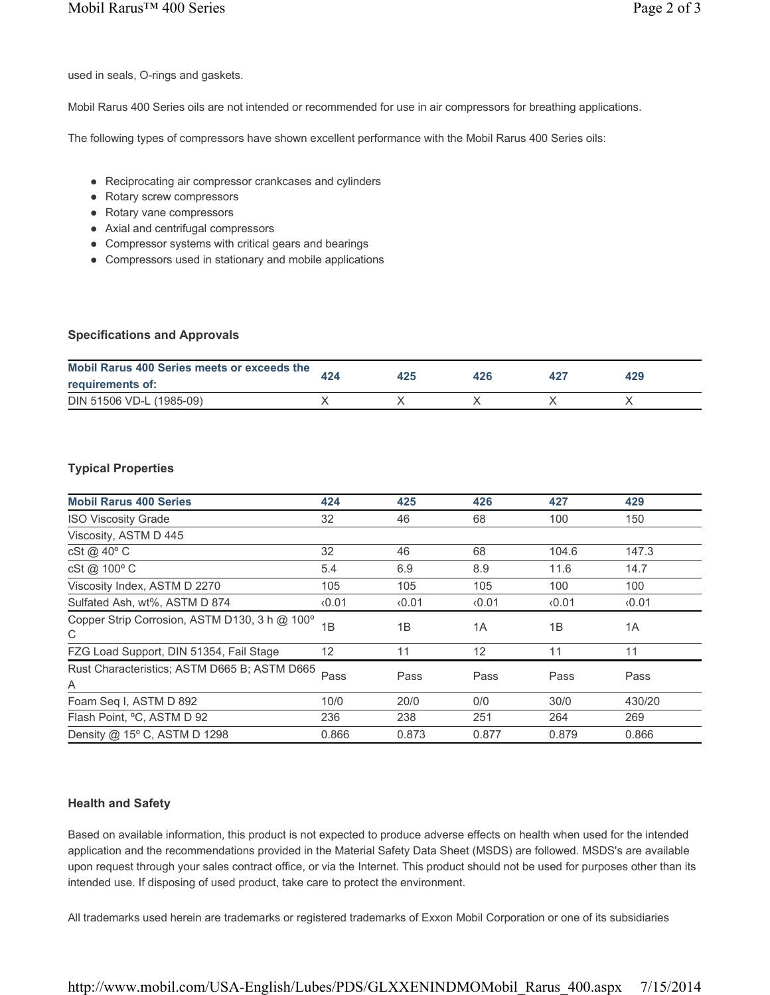used in seals, O-rings and gaskets.

Mobil Rarus 400 Series oils are not intended or recommended for use in air compressors for breathing applications.

The following types of compressors have shown excellent performance with the Mobil Rarus 400 Series oils:

- Reciprocating air compressor crankcases and cylinders
- Rotary screw compressors
- Rotary vane compressors
- Axial and centrifugal compressors
- Compressor systems with critical gears and bearings
- Compressors used in stationary and mobile applications

#### **Specifications and Approvals**

| Mobil Rarus 400 Series meets or exceeds the<br>requirements of: | 425 | 426 | 429 |  |
|-----------------------------------------------------------------|-----|-----|-----|--|
| DIN 51506 VD-L (1985-09)                                        |     |     |     |  |

#### **Typical Properties**

| <b>Mobil Rarus 400 Series</b>                      | 424   | 425   | 426   | 427   | 429    |
|----------------------------------------------------|-------|-------|-------|-------|--------|
| <b>ISO Viscosity Grade</b>                         | 32    | 46    | 68    | 100   | 150    |
| Viscosity, ASTM D 445                              |       |       |       |       |        |
| cSt @ 40° C                                        | 32    | 46    | 68    | 104.6 | 147.3  |
| cSt @ 100° C                                       | 5.4   | 6.9   | 8.9   | 11.6  | 14.7   |
| Viscosity Index, ASTM D 2270                       | 105   | 105   | 105   | 100   | 100    |
| Sulfated Ash, wt%, ASTM D 874                      | 0.01  | 0.01  | 0.01  | 0.01  | 0.01   |
| Copper Strip Corrosion, ASTM D130, 3 h @ 100°<br>C | 1B    | 1B    | 1A    | 1B    | 1A     |
| FZG Load Support, DIN 51354, Fail Stage            | 12    | 11    | 12    | 11    | 11     |
| Rust Characteristics; ASTM D665 B; ASTM D665<br>Α  | Pass  | Pass  | Pass  | Pass  | Pass   |
| Foam Seq I, ASTM D 892                             | 10/0  | 20/0  | 0/0   | 30/0  | 430/20 |
| Flash Point, °C, ASTM D 92                         | 236   | 238   | 251   | 264   | 269    |
| Density @ 15° C, ASTM D 1298                       | 0.866 | 0.873 | 0.877 | 0.879 | 0.866  |

#### **Health and Safety**

Based on available information, this product is not expected to produce adverse effects on health when used for the intended application and the recommendations provided in the Material Safety Data Sheet (MSDS) are followed. MSDS's are available upon request through your sales contract office, or via the Internet. This product should not be used for purposes other than its intended use. If disposing of used product, take care to protect the environment.

All trademarks used herein are trademarks or registered trademarks of Exxon Mobil Corporation or one of its subsidiaries